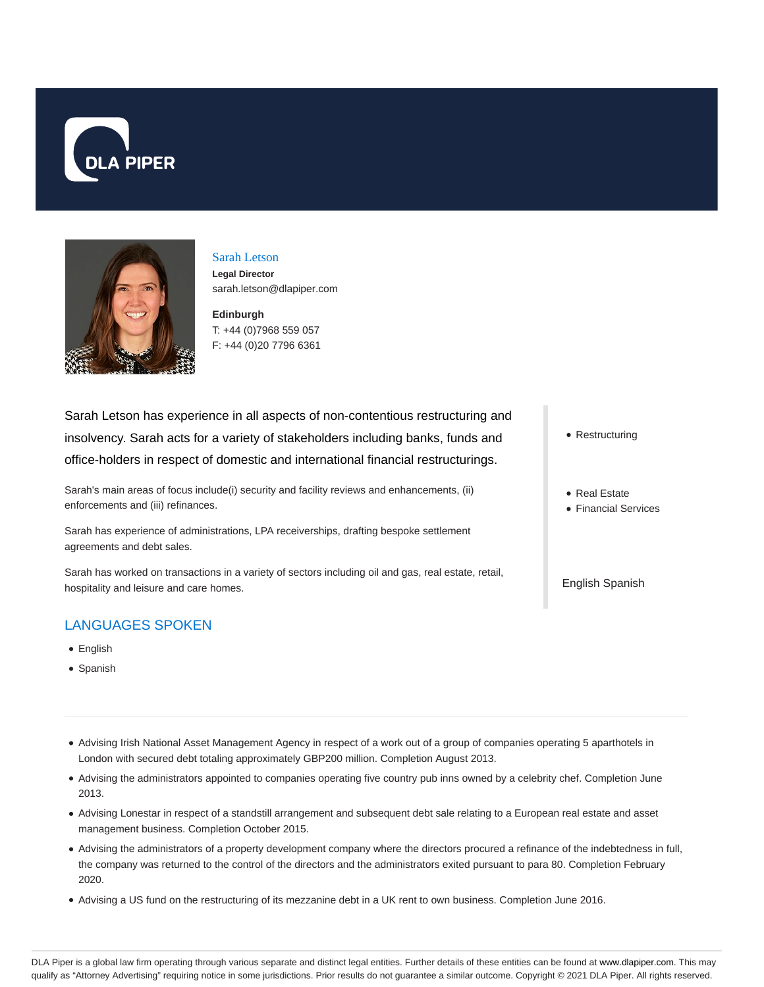



# Sarah Letson

**Legal Director** sarah.letson@dlapiper.com

## **Edinburgh** T: +44 (0)7968 559 057 F: +44 (0)20 7796 6361

Sarah Letson has experience in all aspects of non-contentious restructuring and insolvency. Sarah acts for a variety of stakeholders including banks, funds and office-holders in respect of domestic and international financial restructurings.

Sarah's main areas of focus include(i) security and facility reviews and enhancements, (ii) enforcements and (iii) refinances.

Sarah has experience of administrations, LPA receiverships, drafting bespoke settlement agreements and debt sales.

Sarah has worked on transactions in a variety of sectors including oil and gas, real estate, retail, hospitality and leisure and care homes.

## LANGUAGES SPOKEN

- English
- Spanish
- Advising Irish National Asset Management Agency in respect of a work out of a group of companies operating 5 aparthotels in London with secured debt totaling approximately GBP200 million. Completion August 2013.
- Advising the administrators appointed to companies operating five country pub inns owned by a celebrity chef. Completion June 2013.
- Advising Lonestar in respect of a standstill arrangement and subsequent debt sale relating to a European real estate and asset management business. Completion October 2015.
- Advising the administrators of a property development company where the directors procured a refinance of the indebtedness in full, the company was returned to the control of the directors and the administrators exited pursuant to para 80. Completion February 2020.
- Advising a US fund on the restructuring of its mezzanine debt in a UK rent to own business. Completion June 2016.
- Restructuring
- Real Estate
- Financial Services

English Spanish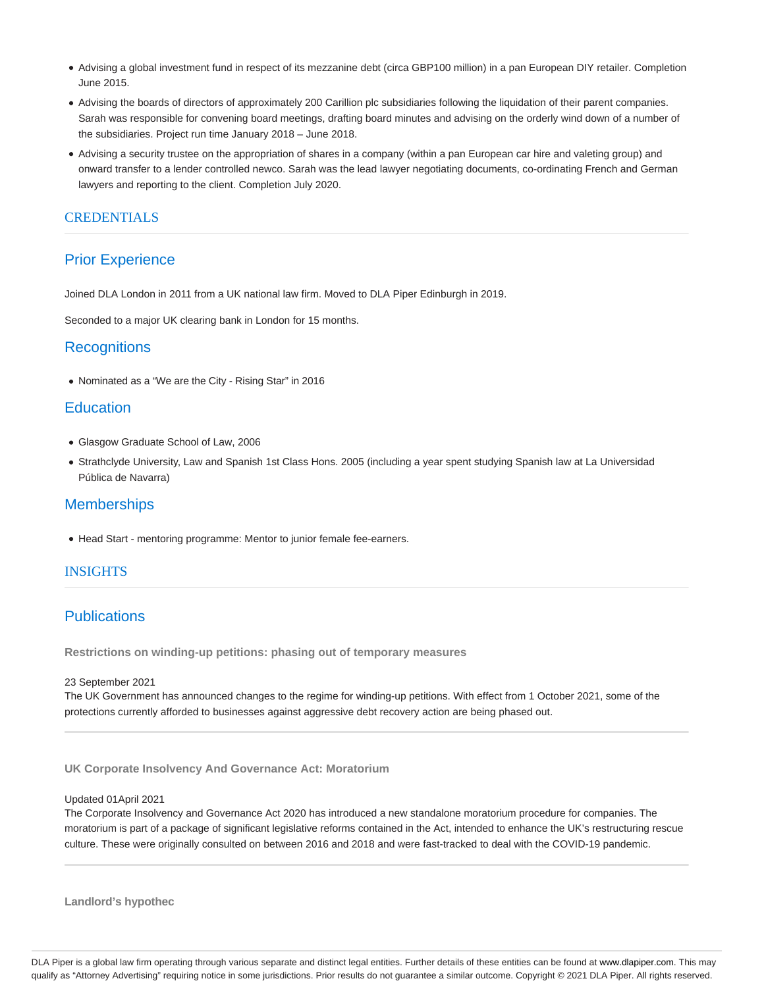- Advising a global investment fund in respect of its mezzanine debt (circa GBP100 million) in a pan European DIY retailer. Completion June 2015.
- Advising the boards of directors of approximately 200 Carillion plc subsidiaries following the liquidation of their parent companies. Sarah was responsible for convening board meetings, drafting board minutes and advising on the orderly wind down of a number of the subsidiaries. Project run time January 2018 – June 2018.
- Advising a security trustee on the appropriation of shares in a company (within a pan European car hire and valeting group) and onward transfer to a lender controlled newco. Sarah was the lead lawyer negotiating documents, co-ordinating French and German lawyers and reporting to the client. Completion July 2020.

### CREDENTIALS

## Prior Experience

Joined DLA London in 2011 from a UK national law firm. Moved to DLA Piper Edinburgh in 2019.

Seconded to a major UK clearing bank in London for 15 months.

### **Recognitions**

Nominated as a "We are the City - Rising Star" in 2016

## **Education**

- Glasgow Graduate School of Law, 2006
- Strathclyde University, Law and Spanish 1st Class Hons. 2005 (including a year spent studying Spanish law at La Universidad Pública de Navarra)

## **Memberships**

Head Start - mentoring programme: Mentor to junior female fee-earners.

#### INSIGHTS

## **Publications**

**Restrictions on winding-up petitions: phasing out of temporary measures**

#### 23 September 2021

The UK Government has announced changes to the regime for winding-up petitions. With effect from 1 October 2021, some of the protections currently afforded to businesses against aggressive debt recovery action are being phased out.

**UK Corporate Insolvency And Governance Act: Moratorium**

#### Updated 01April 2021

The Corporate Insolvency and Governance Act 2020 has introduced a new standalone moratorium procedure for companies. The moratorium is part of a package of significant legislative reforms contained in the Act, intended to enhance the UK's restructuring rescue culture. These were originally consulted on between 2016 and 2018 and were fast-tracked to deal with the COVID-19 pandemic.

**Landlord's hypothec**

DLA Piper is a global law firm operating through various separate and distinct legal entities. Further details of these entities can be found at www.dlapiper.com. This may qualify as "Attorney Advertising" requiring notice in some jurisdictions. Prior results do not guarantee a similar outcome. Copyright © 2021 DLA Piper. All rights reserved.